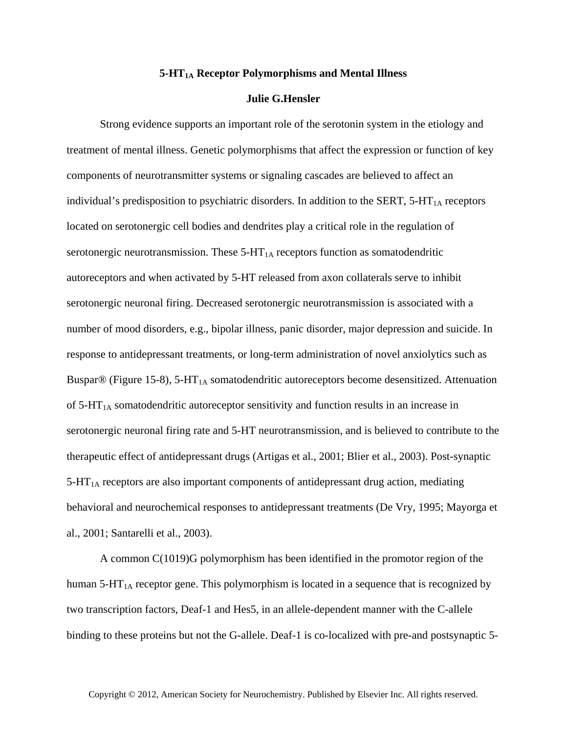## **5-HT1A Receptor Polymorphisms and Mental Illness**

## **Julie G.Hensler**

Strong evidence supports an important role of the serotonin system in the etiology and treatment of mental illness. Genetic polymorphisms that affect the expression or function of key components of neurotransmitter systems or signaling cascades are believed to affect an individual's predisposition to psychiatric disorders. In addition to the SERT,  $5$ -HT<sub>1A</sub> receptors located on serotonergic cell bodies and dendrites play a critical role in the regulation of serotonergic neurotransmission. These  $5-HT<sub>1A</sub>$  receptors function as somatodendritic autoreceptors and when activated by 5-HT released from axon collaterals serve to inhibit serotonergic neuronal firing. Decreased serotonergic neurotransmission is associated with a number of mood disorders, e.g., bipolar illness, panic disorder, major depression and suicide. In response to antidepressant treatments, or long-term administration of novel anxiolytics such as Buspar® (Figure 15-8), 5-HT<sub>1A</sub> somatodendritic autoreceptors become desensitized. Attenuation of  $5-HT<sub>1A</sub>$  somatodendritic autoreceptor sensitivity and function results in an increase in serotonergic neuronal firing rate and 5-HT neurotransmission, and is believed to contribute to the therapeutic effect of antidepressant drugs (Artigas et al., 2001; Blier et al., 2003). Post-synaptic  $5-HT<sub>1A</sub>$  receptors are also important components of antidepressant drug action, mediating behavioral and neurochemical responses to antidepressant treatments (De Vry, 1995; Mayorga et al., 2001; Santarelli et al., 2003).

A common C(1019)G polymorphism has been identified in the promotor region of the human  $5-HT<sub>1A</sub>$  receptor gene. This polymorphism is located in a sequence that is recognized by two transcription factors, Deaf-1 and Hes5, in an allele-dependent manner with the C-allele binding to these proteins but not the G-allele. Deaf-1 is co-localized with pre-and postsynaptic 5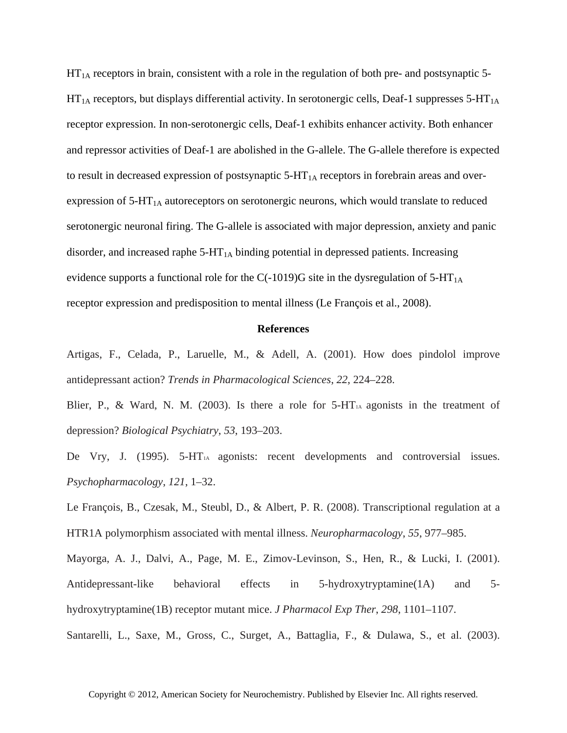$HT<sub>1A</sub>$  receptors in brain, consistent with a role in the regulation of both pre- and postsynaptic 5- $HT_{1A}$  receptors, but displays differential activity. In serotonergic cells, Deaf-1 suppresses 5-HT<sub>1A</sub> receptor expression. In non-serotonergic cells, Deaf-1 exhibits enhancer activity. Both enhancer and repressor activities of Deaf-1 are abolished in the G-allele. The G-allele therefore is expected to result in decreased expression of postsynaptic  $5-HT<sub>1A</sub>$  receptors in forebrain areas and overexpression of 5-HT<sub>1A</sub> autoreceptors on serotonergic neurons, which would translate to reduced serotonergic neuronal firing. The G-allele is associated with major depression, anxiety and panic disorder, and increased raphe  $5-HT<sub>1A</sub>$  binding potential in depressed patients. Increasing evidence supports a functional role for the C(-1019)G site in the dysregulation of  $5-HT<sub>1A</sub>$ receptor expression and predisposition to mental illness (Le François et al., 2008).

## **References**

Artigas, F., Celada, P., Laruelle, M., & Adell, A. (2001). How does pindolol improve antidepressant action? *Trends in Pharmacological Sciences*, *22*, 224–228.

Blier, P., & Ward, N. M. (2003). Is there a role for  $5-\text{HT}_{1A}$  agonists in the treatment of depression? *Biological Psychiatry*, *53*, 193–203.

De Vry, J. (1995). 5-HT<sub>1A</sub> agonists: recent developments and controversial issues. *Psychopharmacology*, *121*, 1–32.

Le François, B., Czesak, M., Steubl, D., & Albert, P. R. (2008). Transcriptional regulation at a HTR1A polymorphism associated with mental illness. *Neuropharmacology*, *55*, 977–985.

Mayorga, A. J., Dalvi, A., Page, M. E., Zimov-Levinson, S., Hen, R., & Lucki, I. (2001). Antidepressant-like behavioral effects in 5-hydroxytryptamine(1A) and 5 hydroxytryptamine(1B) receptor mutant mice. *J Pharmacol Exp Ther*, *298*, 1101–1107.

Santarelli, L., Saxe, M., Gross, C., Surget, A., Battaglia, F., & Dulawa, S., et al. (2003).